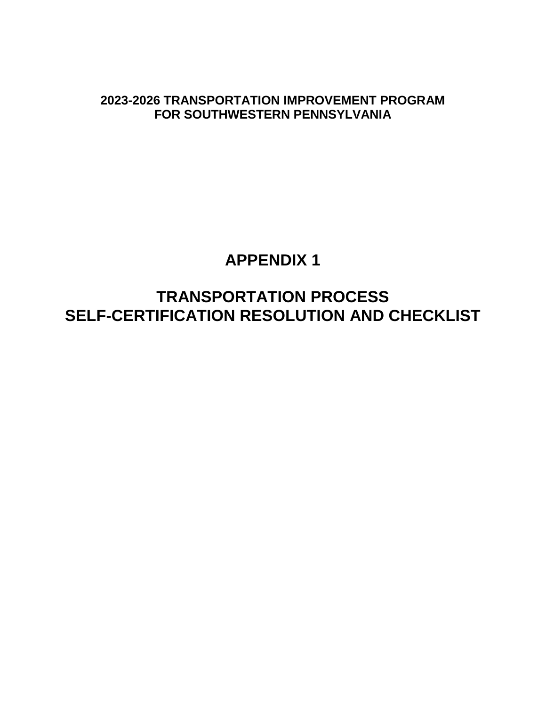**2023-2026 TRANSPORTATION IMPROVEMENT PROGRAM FOR SOUTHWESTERN PENNSYLVANIA**

# **APPENDIX 1**

**TRANSPORTATION PROCESS SELF-CERTIFICATION RESOLUTION AND CHECKLIST**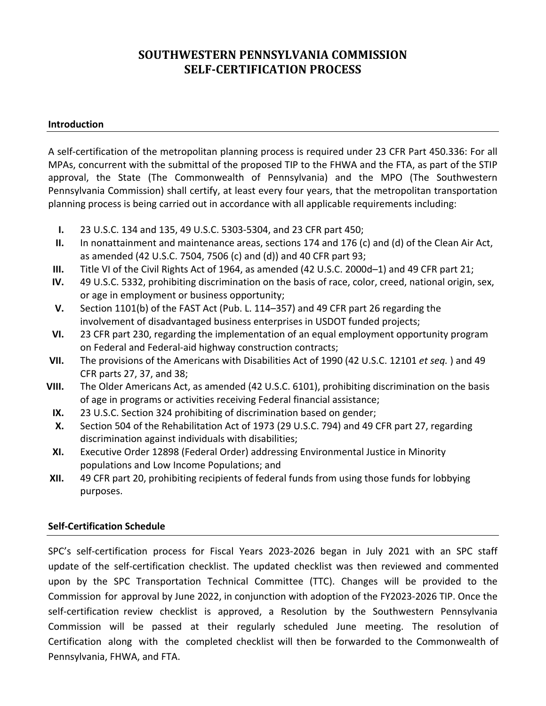# **SOUTHWESTERN PENNSYLVANIA COMMISSION SELF-CERTIFICATION PROCESS**

#### **Introduction**

A self-certification of the metropolitan planning process is required under 23 CFR Part 450.336: For all MPAs, concurrent with the submittal of the proposed TIP to the FHWA and the FTA, as part of the STIP approval, the State (The Commonwealth of Pennsylvania) and the MPO (The Southwestern Pennsylvania Commission) shall certify, at least every four years, that the metropolitan transportation planning process is being carried out in accordance with all applicable requirements including:

- **I.** 23 U.S.C. 134 and 135, 49 U.S.C. 5303-5304, and 23 CFR part 450;
- **II.** In nonattainment and maintenance areas, sections 174 and 176 (c) and (d) of the Clean Air Act, as amended (42 U.S.C. 7504, 7506 (c) and (d)) and 40 CFR part 93;
- **III.** Title VI of the Civil Rights Act of 1964, as amended (42 U.S.C. 2000d–1) and 49 CFR part 21;
- **IV.** 49 U.S.C. 5332, prohibiting discrimination on the basis of race, color, creed, national origin, sex, or age in employment or business opportunity;
- **V.** Section 1101(b) of the FAST Act (Pub. L. 114–357) and 49 CFR part 26 regarding the involvement of disadvantaged business enterprises in USDOT funded projects;
- **VI.** 23 CFR part 230, regarding the implementation of an equal employment opportunity program on Federal and Federal-aid highway construction contracts;
- **VII.** The provisions of the Americans with Disabilities Act of 1990 (42 U.S.C. 12101 *et seq.* ) and 49 CFR parts 27, 37, and 38;
- **VIII.** The Older Americans Act, as amended (42 U.S.C. 6101), prohibiting discrimination on the basis of age in programs or activities receiving Federal financial assistance;
- **IX.** 23 U.S.C. Section 324 prohibiting of discrimination based on gender;
- **X.** Section 504 of the Rehabilitation Act of 1973 (29 U.S.C. 794) and 49 CFR part 27, regarding discrimination against individuals with disabilities;
- **XI.** Executive Order 12898 (Federal Order) addressing Environmental Justice in Minority populations and Low Income Populations; and
- **XII.** 49 CFR part 20, prohibiting recipients of federal funds from using those funds for lobbying purposes.

## **Self-Certification Schedule**

SPC's self-certification process for Fiscal Years 2023-2026 began in July 2021 with an SPC staff update of the self-certification checklist. The updated checklist was then reviewed and commented upon by the SPC Transportation Technical Committee (TTC). Changes will be provided to the Commission for approval by June 2022, in conjunction with adoption of the FY2023-2026 TIP. Once the self-certification review checklist is approved, a Resolution by the Southwestern Pennsylvania Commission will be passed at their regularly scheduled June meeting. The resolution of Certification along with the completed checklist will then be forwarded to the Commonwealth of Pennsylvania, FHWA, and FTA.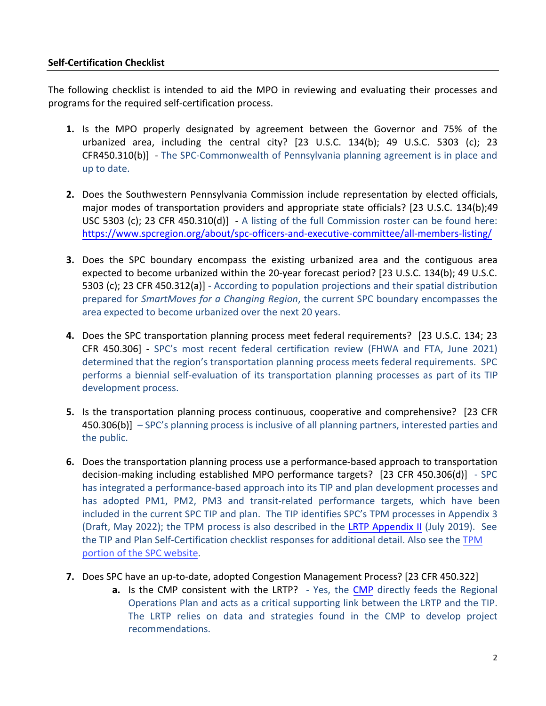### **Self-Certification Checklist**

The following checklist is intended to aid the MPO in reviewing and evaluating their processes and programs for the required self-certification process.

- **1.** Is the MPO properly designated by agreement between the Governor and 75% of the urbanized area, including the central city? [23 U.S.C. 134(b); 49 U.S.C. 5303 (c); 23 CFR450.310(b)] - The SPC-Commonwealth of Pennsylvania planning agreement is in place and up to date.
- **2.** Does the Southwestern Pennsylvania Commission include representation by elected officials, major modes of transportation providers and appropriate state officials? [23 U.S.C. 134(b);49 USC 5303 (c); 23 CFR 450.310(d)] - A listing of the full Commission roster can be found here: <https://www.spcregion.org/about/spc-officers-and-executive-committee/all-members-listing/>
- **3.** Does the SPC boundary encompass the existing urbanized area and the contiguous area expected to become urbanized within the 20-year forecast period? [23 U.S.C. 134(b); 49 U.S.C. 5303 (c); 23 CFR 450.312(a)] - According to population projections and their spatial distribution prepared for *SmartMoves for a Changing Region*, the current SPC boundary encompasses the area expected to become urbanized over the next 20 years.
- **4.** Does the SPC transportation planning process meet federal requirements? [23 U.S.C. 134; 23 CFR 450.306] - SPC's most recent federal certification review (FHWA and FTA, June 2021) determined that the region's transportation planning process meets federal requirements. SPC performs a biennial self-evaluation of its transportation planning processes as part of its TIP development process.
- **5.** Is the transportation planning process continuous, cooperative and comprehensive? [23 CFR 450.306(b)] – SPC's planning process is inclusive of all planning partners, interested parties and the public.
- **6.** Does the transportation planning process use a performance-based approach to transportation decision-making including established MPO performance targets? [23 CFR 450.306(d)] - SPC has integrated a performance-based approach into its TIP and plan development processes and has adopted PM1, PM2, PM3 and transit-related performance targets, which have been included in the current SPC TIP and plan. The TIP identifies SPC's TPM processes in Appendix 3 (Draft, May 2022); the TPM process is also described in the [LRTP Appendix II](https://www.spcregion.org/wp-content/uploads/2019/09/App_2.pdf) (July 2019). See [the TIP and Plan Self-Certification checklist responses for additional detail.](https://spctpm-spc.hub.arcgis.com/) Also see the TPM portion of the SPC website.
- **7.** Does SPC have an up-to-date, adopted Congestion Management Process? [23 CFR 450.322]
	- **a.** Is the [CMP](https://www.spcregion.org/resources-tools/cmp-at-spc/) consistent with the LRTP? Yes, the CMP directly feeds the Regional Operations Plan and acts as a critical supporting link between the LRTP and the TIP. The LRTP relies on data and strategies found in the CMP to develop project recommendations.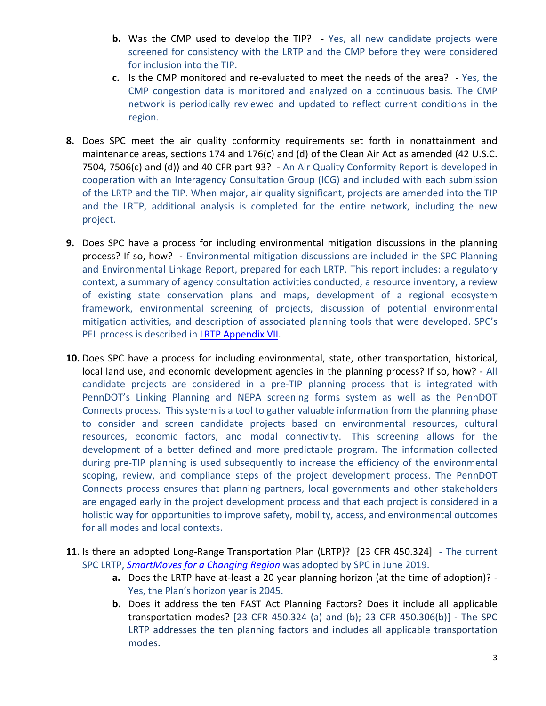- **b.** Was the CMP used to develop the TIP? Yes, all new candidate projects were screened for consistency with the LRTP and the CMP before they were considered for inclusion into the TIP.
- **c.** Is the CMP monitored and re-evaluated to meet the needs of the area? Yes, the CMP congestion data is monitored and analyzed on a continuous basis. The CMP network is periodically reviewed and updated to reflect current conditions in the region.
- **8.** Does SPC meet the air quality conformity requirements set forth in nonattainment and maintenance areas, sections 174 and 176(c) and (d) of the Clean Air Act as amended (42 U.S.C. 7504, 7506(c) and (d)) and 40 CFR part 93? - An Air Quality Conformity Report is developed in cooperation with an Interagency Consultation Group (ICG) and included with each submission of the LRTP and the TIP. When major, air quality significant, projects are amended into the TIP and the LRTP, additional analysis is completed for the entire network, including the new project.
- **9.** Does SPC have a process for including environmental mitigation discussions in the planning process? If so, how? - Environmental mitigation discussions are included in the SPC Planning and Environmental Linkage Report, prepared for each LRTP. This report includes: a regulatory context, a summary of agency consultation activities conducted, a resource inventory, a review of existing state conservation plans and maps, development of a regional ecosystem framework, environmental screening of projects, discussion of potential environmental mitigation activities, and description of associated planning tools that were developed. SPC's PEL process is described in [LRTP Appendix VII.](https://www.spcregion.org/wp-content/uploads/2019/09/App_7.pdf)
- **10.** Does SPC have a process for including environmental, state, other transportation, historical, local land use, and economic development agencies in the planning process? If so, how? - All candidate projects are considered in a pre-TIP planning process that is integrated with PennDOT's Linking Planning and NEPA screening forms system as well as the PennDOT Connects process. This system is a tool to gather valuable information from the planning phase to consider and screen candidate projects based on environmental resources, cultural resources, economic factors, and modal connectivity. This screening allows for the development of a better defined and more predictable program. The information collected during pre-TIP planning is used subsequently to increase the efficiency of the environmental scoping, review, and compliance steps of the project development process. The PennDOT Connects process ensures that planning partners, local governments and other stakeholders are engaged early in the project development process and that each project is considered in a holistic way for opportunities to improve safety, mobility, access, and environmental outcomes for all modes and local contexts.
- **11.** Is there an adopted Long-Range Transportation Plan (LRTP)? [23 CFR 450.324]The current SPC LRTP, *[SmartMoves for a Changing Region](https://www.spcregion.org/programs-services/transportation/smartmoves-long-range-plan-transportation-improvement-program/)* was adopted by SPC in June 2019.
	- **a.** Does the LRTP have at-least a 20 year planning horizon (at the time of adoption)? Yes, the Plan's horizon year is 2045.
	- **b.** Does it address the ten FAST Act Planning Factors? Does it include all applicable transportation modes? [23 CFR 450.324 (a) and (b); 23 CFR 450.306(b)] - The SPC LRTP addresses the ten planning factors and includes all applicable transportation modes.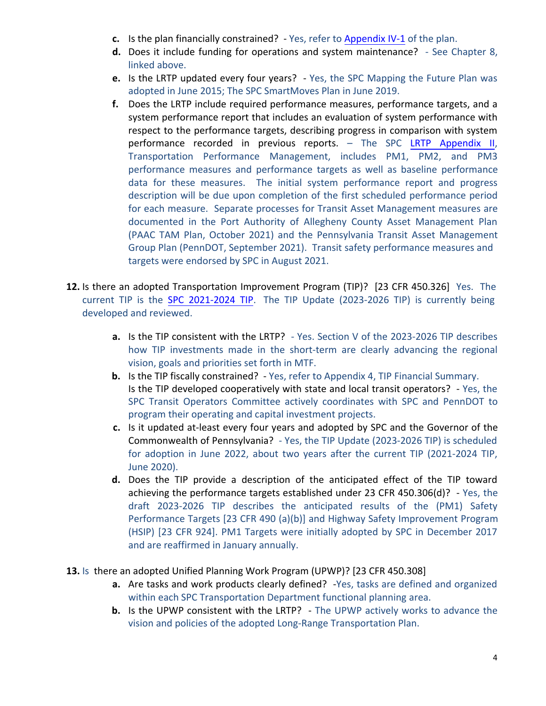- **c.** Is the plan financially constrained? Yes, refer to [Appendix IV-1](https://www.spcregion.org/wp-content/uploads/2019/09/App_4-1.pdf) of the plan.
- **d.** Does it include funding for operations and system maintenance? See Chapter 8, linked above.
- **e.** Is the LRTP updated every four years? Yes, the SPC Mapping the Future Plan was adopted in June 2015; The SPC SmartMoves Plan in June 2019.
- **f.** Does the LRTP include required performance measures, performance targets, and a system performance report that includes an evaluation of system performance with respect to the performance targets, describing progress in comparison with system performance recorded in previous reports. – The SPC LRTP [Appendix II,](https://www.spcregion.org/wp-content/uploads/2019/09/App_2.pdf) Transportation Performance Management, includes PM1, PM2, and PM3 performance measures and performance targets as well as baseline performance data for these measures. The initial system performance report and progress description will be due upon completion of the first scheduled performance period for each measure. Separate processes for Transit Asset Management measures are documented in the Port Authority of Allegheny County Asset Management Plan (PAAC TAM Plan, October 2021) and the Pennsylvania Transit Asset Management Group Plan (PennDOT, September 2021). Transit safety performance measures and targets were endorsed by SPC in August 2021.
- **12.** Is there an adopted Transportation Improvement Program (TIP)? [23 CFR 450.326] Yes. The current TIP is the SPC 2021[-202](https://www.spcregion.org/wp-content/uploads/2020/05/2021_SPC_TIP_Summary_Report.pdf)4 TIP. The TIP Update (2023-2026 TIP) is currently being developed and reviewed.
	- **a.** Is the TIP consistent with the LRTP? Yes. Section V of the 2023-2026 TIP describes how TIP investments made in the short-term are clearly advancing the regional vision, goals and priorities set forth in MTF.
	- **b.** Is the TIP fiscally constrained? Yes, refer to Appendix 4, TIP Financial Summary. Is the TIP developed cooperatively with state and local transit operators? - Yes, the SPC Transit Operators Committee actively coordinates with SPC and PennDOT to program their operating and capital investment projects.
	- **c.** Is it updated at-least every four years and adopted by SPC and the Governor of the Commonwealth of Pennsylvania? - Yes, the TIP Update (2023-2026 TIP) is scheduled for adoption in June 2022, about two years after the current TIP (2021-2024 TIP, June 2020).
	- **d.** Does the TIP provide a description of the anticipated effect of the TIP toward achieving the performance targets established under 23 CFR 450.306(d)? - Yes, the draft 2023-2026 TIP describes the anticipated results of the (PM1) Safety Performance Targets [23 CFR 490 (a)(b)] and Highway Safety Improvement Program (HSIP) [23 CFR 924]. PM1 Targets were initially adopted by SPC in December 2017 and are reaffirmed in January annually.
- **13.** Is there an adopted Unified Planning Work Program (UPWP)? [23 CFR 450.308]
	- **a.** Are tasks and work products clearly defined? -Yes, tasks are defined and organized within each SPC Transportation Department functional planning area.
	- **b.** Is the UPWP consistent with the LRTP? The UPWP actively works to advance the vision and policies of the adopted Long-Range Transportation Plan.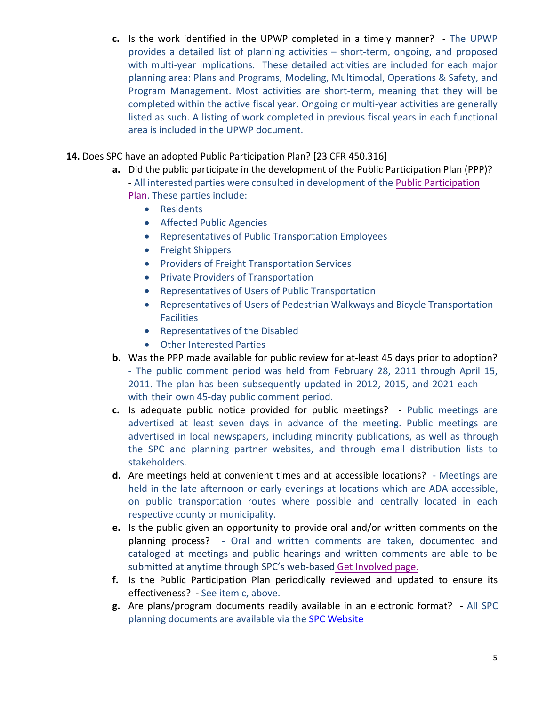- **c.** Is the work identified in the UPWP completed in a timely manner? The UPWP provides a detailed list of planning activities – short-term, ongoing, and proposed with multi-year implications. These detailed activities are included for each major planning area: Plans and Programs, Modeling, Multimodal, Operations & Safety, and Program Management. Most activities are short-term, meaning that they will be completed within the active fiscal year. Ongoing or multi-year activities are generally listed as such. A listing of work completed in previous fiscal years in each functional area is included in the UPWP document.
- **14.** Does SPC have an adopted Public Participation Plan? [23 CFR 450.316]
	- **a.** Did the public participate in the development of the Public Participation Plan (PPP)? - All interested parties were consulted in development of the [Public Participation](https://www.spcregion.org/wp-content/uploads/2019/09/SPC_PPP_2015-1.pdf) [Plan.](https://www.spcregion.org/wp-content/uploads/2019/09/SPC_PPP_2015-1.pdf) These parties include:
		- Residents
		- Affected Public Agencies
		- Representatives of Public Transportation Employees
		- Freight Shippers
		- Providers of Freight Transportation Services
		- Private Providers of Transportation
		- Representatives of Users of Public Transportation
		- Representatives of Users of Pedestrian Walkways and Bicycle Transportation **Facilities**
		- Representatives of the Disabled
		- Other Interested Parties
	- **b.** Was the PPP made available for public review for at-least 45 days prior to adoption? - The public comment period was held from February 28, 2011 through April 15, 2011. The plan has been subsequently updated in 2012, 2015, and 2021 each with their own 45-day public comment period.
	- **c.** Is adequate public notice provided for public meetings? Public meetings are advertised at least seven days in advance of the meeting. Public meetings are advertised in local newspapers, including minority publications, as well as through the SPC and planning partner websites, and through email distribution lists to stakeholders.
	- **d.** Are meetings held at convenient times and at accessible locations? Meetings are held in the late afternoon or early evenings at locations which are ADA accessible, on public transportation routes where possible and centrally located in each respective county or municipality.
	- **e.** Is the public given an opportunity to provide oral and/or written comments on the planning process? - Oral and written comments are taken, documented and cataloged at meetings and public hearings and written comments are able to be submitted at anytime through SPC's web-based [Get Involved page.](https://www.spcregion.org/get-involved/)
	- **f.** Is the Public Participation Plan periodically reviewed and updated to ensure its effectiveness? - See item c, above.
	- **g.** Are plans/program documents readily available in an electronic format? All SPC planning documents are available via the [SPC Website](https://www.spcregion.org/)